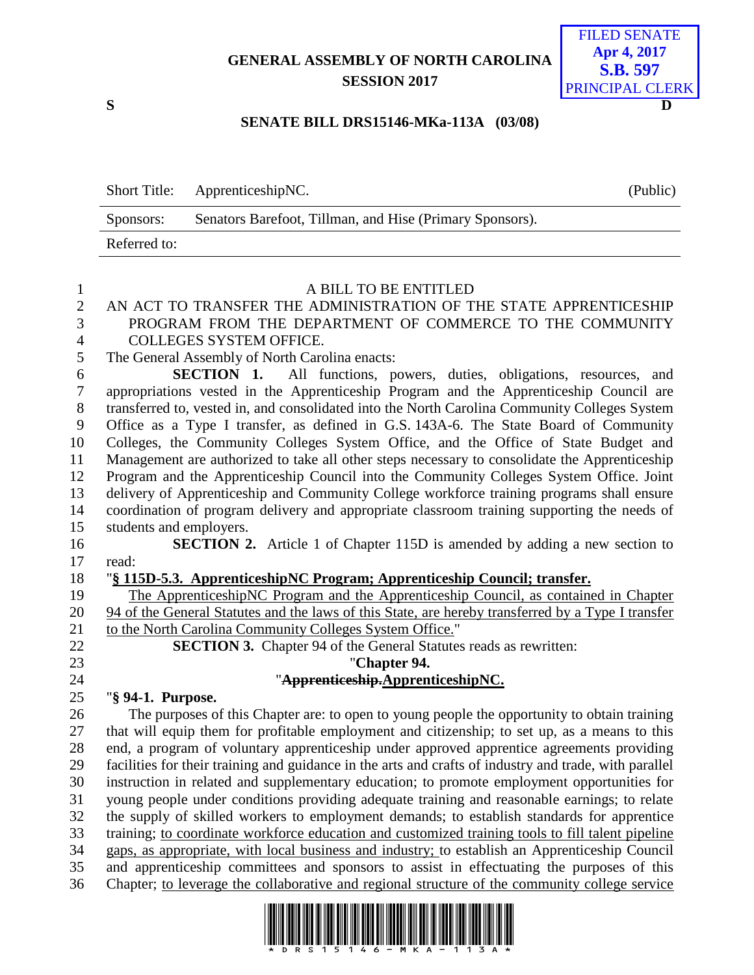# **GENERAL ASSEMBLY OF NORTH CAROLINA SESSION 2017**



#### **SENATE BILL DRS15146-MKa-113A (03/08)**

|              | Short Title: ApprenticeshipNC.                           | (Public) |
|--------------|----------------------------------------------------------|----------|
| Sponsors:    | Senators Barefoot, Tillman, and Hise (Primary Sponsors). |          |
| Referred to: |                                                          |          |
|              |                                                          |          |

## A BILL TO BE ENTITLED AN ACT TO TRANSFER THE ADMINISTRATION OF THE STATE APPRENTICESHIP PROGRAM FROM THE DEPARTMENT OF COMMERCE TO THE COMMUNITY COLLEGES SYSTEM OFFICE. The General Assembly of North Carolina enacts: **SECTION 1.** All functions, powers, duties, obligations, resources, and appropriations vested in the Apprenticeship Program and the Apprenticeship Council are transferred to, vested in, and consolidated into the North Carolina Community Colleges System Office as a Type I transfer, as defined in G.S. 143A-6. The State Board of Community Colleges, the Community Colleges System Office, and the Office of State Budget and Management are authorized to take all other steps necessary to consolidate the Apprenticeship Program and the Apprenticeship Council into the Community Colleges System Office. Joint delivery of Apprenticeship and Community College workforce training programs shall ensure coordination of program delivery and appropriate classroom training supporting the needs of students and employers. **SECTION 2.** Article 1 of Chapter 115D is amended by adding a new section to read: "**§ 115D-5.3. ApprenticeshipNC Program; Apprenticeship Council; transfer.** The ApprenticeshipNC Program and the Apprenticeship Council, as contained in Chapter 94 of the General Statutes and the laws of this State, are hereby transferred by a Type I transfer 21 to the North Carolina Community Colleges System Office." **SECTION 3.** Chapter 94 of the General Statutes reads as rewritten: "**Chapter 94.** "**Apprenticeship.ApprenticeshipNC.** "**§ 94-1. Purpose.** The purposes of this Chapter are: to open to young people the opportunity to obtain training that will equip them for profitable employment and citizenship; to set up, as a means to this end, a program of voluntary apprenticeship under approved apprentice agreements providing facilities for their training and guidance in the arts and crafts of industry and trade, with parallel instruction in related and supplementary education; to promote employment opportunities for young people under conditions providing adequate training and reasonable earnings; to relate the supply of skilled workers to employment demands; to establish standards for apprentice

 training; to coordinate workforce education and customized training tools to fill talent pipeline gaps, as appropriate, with local business and industry; to establish an Apprenticeship Council and apprenticeship committees and sponsors to assist in effectuating the purposes of this Chapter; to leverage the collaborative and regional structure of the community college service

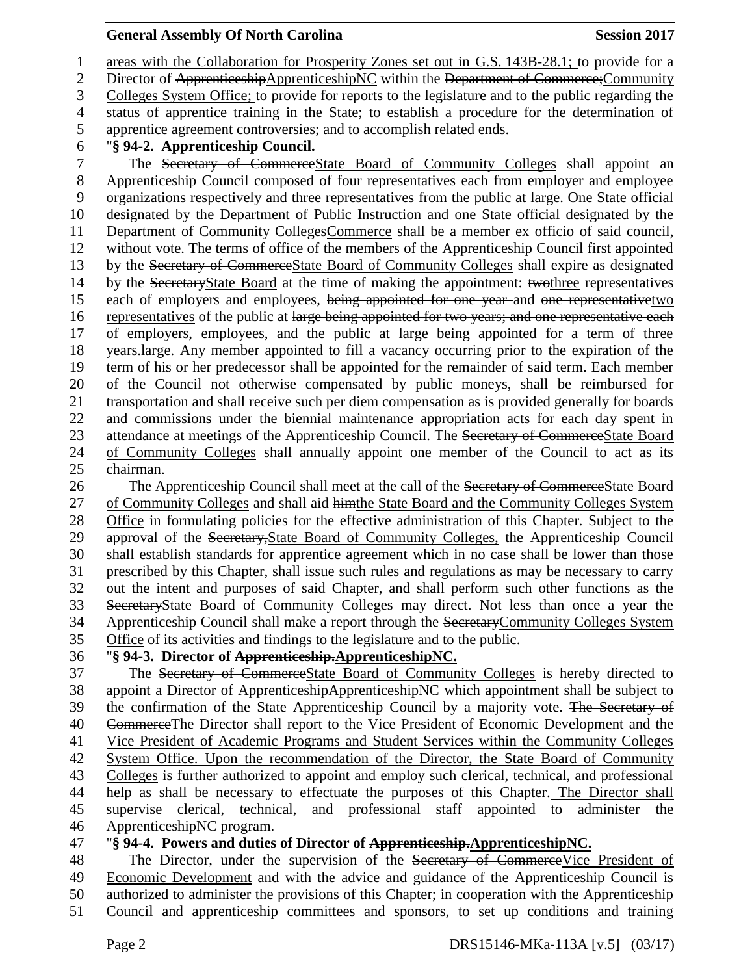areas with the Collaboration for Prosperity Zones set out in G.S. 143B-28.1; to provide for a 2 Director of ApprenticeshipApprenticeshipNC within the Department of Commerce; Community Colleges System Office; to provide for reports to the legislature and to the public regarding the status of apprentice training in the State; to establish a procedure for the determination of apprentice agreement controversies; and to accomplish related ends. "**§ 94-2. Apprenticeship Council.** The Secretary of CommerceState Board of Community Colleges shall appoint an Apprenticeship Council composed of four representatives each from employer and employee organizations respectively and three representatives from the public at large. One State official designated by the Department of Public Instruction and one State official designated by the Department of Community CollegesCommerce shall be a member ex officio of said council, without vote. The terms of office of the members of the Apprenticeship Council first appointed 13 by the Secretary of CommerceState Board of Community Colleges shall expire as designated by the SecretaryState Board at the time of making the appointment: twothree representatives each of employers and employees, being appointed for one year and one representativetwo 16 representatives of the public at large being appointed for two years; and one representative each 17 of employers, employees, and the public at large being appointed for a term of three 18 <del>years.</del> large. Any member appointed to fill a vacancy occurring prior to the expiration of the term of his or her predecessor shall be appointed for the remainder of said term. Each member of the Council not otherwise compensated by public moneys, shall be reimbursed for transportation and shall receive such per diem compensation as is provided generally for boards and commissions under the biennial maintenance appropriation acts for each day spent in 23 attendance at meetings of the Apprenticeship Council. The Secretary of CommerceState Board of Community Colleges shall annually appoint one member of the Council to act as its

## chairman.

26 The Apprenticeship Council shall meet at the call of the Secretary of CommerceState Board of Community Colleges and shall aid himthe State Board and the Community Colleges System 28 Office in formulating policies for the effective administration of this Chapter. Subject to the approval of the Secretary,State Board of Community Colleges, the Apprenticeship Council shall establish standards for apprentice agreement which in no case shall be lower than those prescribed by this Chapter, shall issue such rules and regulations as may be necessary to carry out the intent and purposes of said Chapter, and shall perform such other functions as the SecretaryState Board of Community Colleges may direct. Not less than once a year the 34 Apprenticeship Council shall make a report through the SecretaryCommunity Colleges System Office of its activities and findings to the legislature and to the public.

## "**§ 94-3. Director of Apprenticeship.ApprenticeshipNC.**

 The Secretary of CommerceState Board of Community Colleges is hereby directed to 38 appoint a Director of ApprenticeshipApprenticeshipNC which appointment shall be subject to 39 the confirmation of the State Apprenticeship Council by a majority vote. The Secretary of CommerceThe Director shall report to the Vice President of Economic Development and the Vice President of Academic Programs and Student Services within the Community Colleges System Office. Upon the recommendation of the Director, the State Board of Community Colleges is further authorized to appoint and employ such clerical, technical, and professional help as shall be necessary to effectuate the purposes of this Chapter. The Director shall supervise clerical, technical, and professional staff appointed to administer the ApprenticeshipNC program.

## "**§ 94-4. Powers and duties of Director of Apprenticeship.ApprenticeshipNC.**

48 The Director, under the supervision of the Secretary of Commerce Vice President of Economic Development and with the advice and guidance of the Apprenticeship Council is authorized to administer the provisions of this Chapter; in cooperation with the Apprenticeship Council and apprenticeship committees and sponsors, to set up conditions and training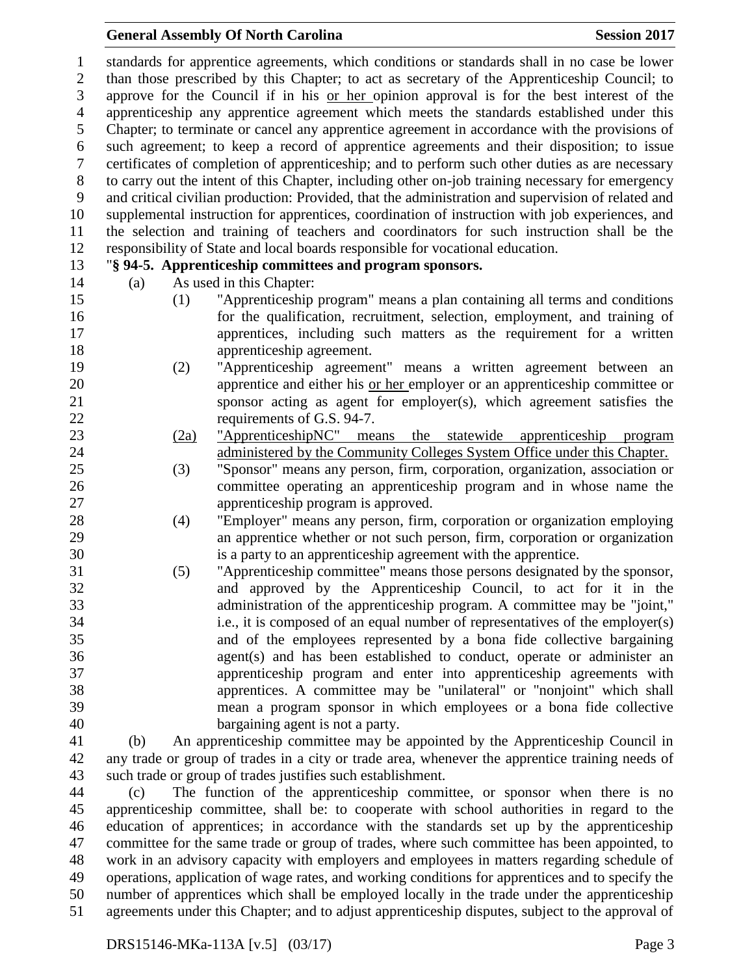standards for apprentice agreements, which conditions or standards shall in no case be lower than those prescribed by this Chapter; to act as secretary of the Apprenticeship Council; to approve for the Council if in his or her opinion approval is for the best interest of the apprenticeship any apprentice agreement which meets the standards established under this Chapter; to terminate or cancel any apprentice agreement in accordance with the provisions of such agreement; to keep a record of apprentice agreements and their disposition; to issue certificates of completion of apprenticeship; and to perform such other duties as are necessary to carry out the intent of this Chapter, including other on-job training necessary for emergency and critical civilian production: Provided, that the administration and supervision of related and supplemental instruction for apprentices, coordination of instruction with job experiences, and the selection and training of teachers and coordinators for such instruction shall be the responsibility of State and local boards responsible for vocational education. "**§ 94-5. Apprenticeship committees and program sponsors.** (a) As used in this Chapter: (1) "Apprenticeship program" means a plan containing all terms and conditions for the qualification, recruitment, selection, employment, and training of apprentices, including such matters as the requirement for a written apprenticeship agreement. (2) "Apprenticeship agreement" means a written agreement between an apprentice and either his or her employer or an apprenticeship committee or sponsor acting as agent for employer(s), which agreement satisfies the 22 requirements of G.S. 94-7. (2a) "ApprenticeshipNC" means the statewide apprenticeship program administered by the Community Colleges System Office under this Chapter. (3) "Sponsor" means any person, firm, corporation, organization, association or committee operating an apprenticeship program and in whose name the apprenticeship program is approved. (4) "Employer" means any person, firm, corporation or organization employing an apprentice whether or not such person, firm, corporation or organization is a party to an apprenticeship agreement with the apprentice. (5) "Apprenticeship committee" means those persons designated by the sponsor, and approved by the Apprenticeship Council, to act for it in the administration of the apprenticeship program. A committee may be "joint," i.e., it is composed of an equal number of representatives of the employer(s) and of the employees represented by a bona fide collective bargaining agent(s) and has been established to conduct, operate or administer an apprenticeship program and enter into apprenticeship agreements with apprentices. A committee may be "unilateral" or "nonjoint" which shall mean a program sponsor in which employees or a bona fide collective bargaining agent is not a party. (b) An apprenticeship committee may be appointed by the Apprenticeship Council in any trade or group of trades in a city or trade area, whenever the apprentice training needs of such trade or group of trades justifies such establishment. (c) The function of the apprenticeship committee, or sponsor when there is no apprenticeship committee, shall be: to cooperate with school authorities in regard to the education of apprentices; in accordance with the standards set up by the apprenticeship

 committee for the same trade or group of trades, where such committee has been appointed, to work in an advisory capacity with employers and employees in matters regarding schedule of operations, application of wage rates, and working conditions for apprentices and to specify the number of apprentices which shall be employed locally in the trade under the apprenticeship agreements under this Chapter; and to adjust apprenticeship disputes, subject to the approval of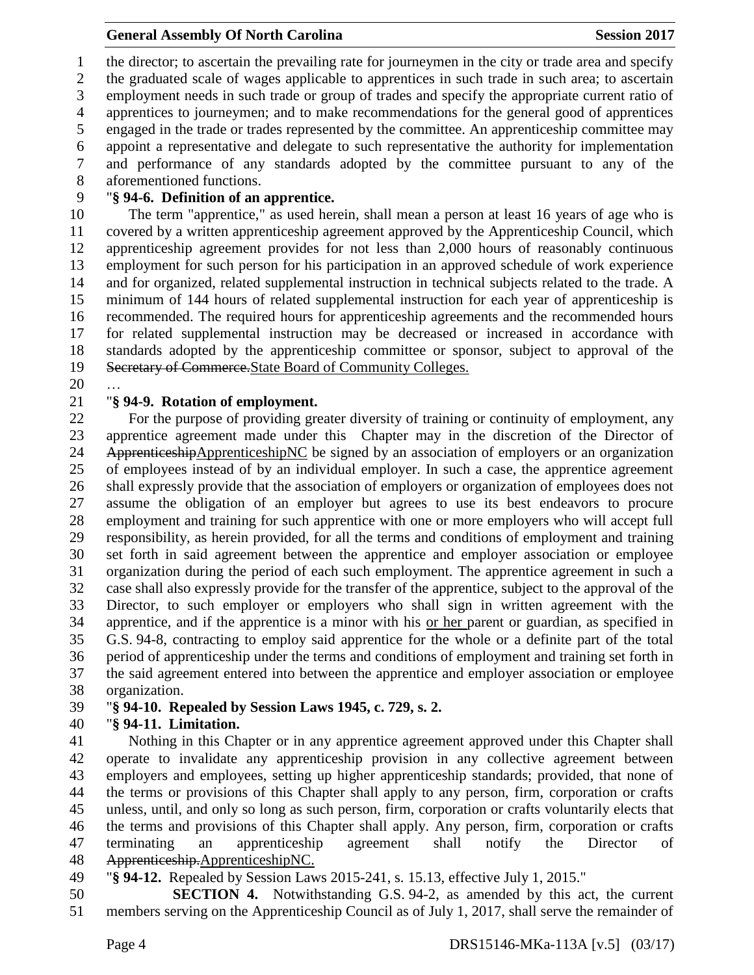the director; to ascertain the prevailing rate for journeymen in the city or trade area and specify the graduated scale of wages applicable to apprentices in such trade in such area; to ascertain employment needs in such trade or group of trades and specify the appropriate current ratio of apprentices to journeymen; and to make recommendations for the general good of apprentices engaged in the trade or trades represented by the committee. An apprenticeship committee may appoint a representative and delegate to such representative the authority for implementation and performance of any standards adopted by the committee pursuant to any of the aforementioned functions.

## "**§ 94-6. Definition of an apprentice.**

 The term "apprentice," as used herein, shall mean a person at least 16 years of age who is covered by a written apprenticeship agreement approved by the Apprenticeship Council, which apprenticeship agreement provides for not less than 2,000 hours of reasonably continuous employment for such person for his participation in an approved schedule of work experience and for organized, related supplemental instruction in technical subjects related to the trade. A minimum of 144 hours of related supplemental instruction for each year of apprenticeship is recommended. The required hours for apprenticeship agreements and the recommended hours for related supplemental instruction may be decreased or increased in accordance with standards adopted by the apprenticeship committee or sponsor, subject to approval of the Secretary of Commerce.State Board of Community Colleges.

…

## "**§ 94-9. Rotation of employment.**

 For the purpose of providing greater diversity of training or continuity of employment, any apprentice agreement made under this Chapter may in the discretion of the Director of 24 ApprenticeshipApprenticeshipNC be signed by an association of employers or an organization of employees instead of by an individual employer. In such a case, the apprentice agreement shall expressly provide that the association of employers or organization of employees does not assume the obligation of an employer but agrees to use its best endeavors to procure employment and training for such apprentice with one or more employers who will accept full responsibility, as herein provided, for all the terms and conditions of employment and training set forth in said agreement between the apprentice and employer association or employee organization during the period of each such employment. The apprentice agreement in such a case shall also expressly provide for the transfer of the apprentice, subject to the approval of the Director, to such employer or employers who shall sign in written agreement with the apprentice, and if the apprentice is a minor with his or her parent or guardian, as specified in G.S. 94-8, contracting to employ said apprentice for the whole or a definite part of the total period of apprenticeship under the terms and conditions of employment and training set forth in the said agreement entered into between the apprentice and employer association or employee organization.

"**§ 94-10. Repealed by Session Laws 1945, c. 729, s. 2.**

## "**§ 94-11. Limitation.**

 Nothing in this Chapter or in any apprentice agreement approved under this Chapter shall operate to invalidate any apprenticeship provision in any collective agreement between employers and employees, setting up higher apprenticeship standards; provided, that none of the terms or provisions of this Chapter shall apply to any person, firm, corporation or crafts unless, until, and only so long as such person, firm, corporation or crafts voluntarily elects that the terms and provisions of this Chapter shall apply. Any person, firm, corporation or crafts terminating an apprenticeship agreement shall notify the Director of Apprenticeship.ApprenticeshipNC.

- "**§ 94-12.** Repealed by Session Laws 2015-241, s. 15.13, effective July 1, 2015."
- **SECTION 4.** Notwithstanding G.S. 94-2, as amended by this act, the current members serving on the Apprenticeship Council as of July 1, 2017, shall serve the remainder of